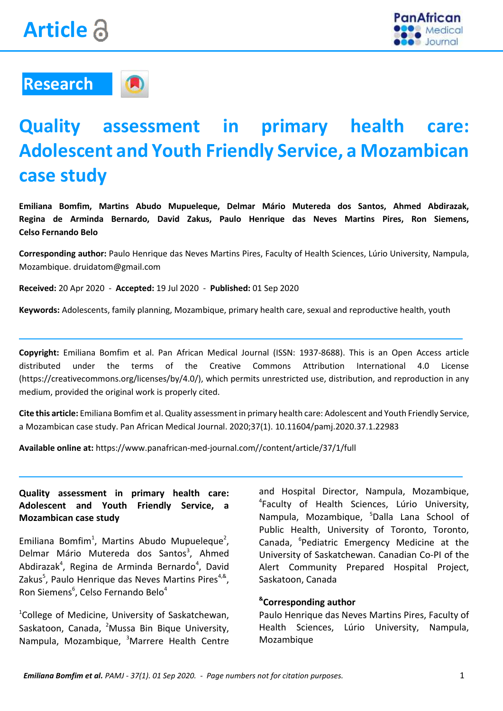



## **Research**



# **Quality assessment in primary health care: Adolescent and Youth Friendly Service, a Mozambican case study**

**Emiliana Bomfim, Martins Abudo Mupueleque, Delmar Mário Mutereda dos Santos, Ahmed Abdirazak, Regina de Arminda Bernardo, David Zakus, Paulo Henrique das Neves Martins Pires, Ron Siemens, Celso Fernando Belo**

**Corresponding author:** Paulo Henrique das Neves Martins Pires, Faculty of Health Sciences, Lúrio University, Nampula, Mozambique. druidatom@gmail.com

**Received:** 20 Apr 2020 - **Accepted:** 19 Jul 2020 - **Published:** 01 Sep 2020

**Keywords:** Adolescents, family planning, Mozambique, primary health care, sexual and reproductive health, youth

**Copyright:** Emiliana Bomfim et al. Pan African Medical Journal (ISSN: 1937-8688). This is an Open Access article distributed under the terms of the Creative Commons Attribution International 4.0 License (https://creativecommons.org/licenses/by/4.0/), which permits unrestricted use, distribution, and reproduction in any medium, provided the original work is properly cited.

**Cite this article:** Emiliana Bomfim et al. Quality assessment in primary health care: Adolescent and Youth Friendly Service, a Mozambican case study. Pan African Medical Journal. 2020;37(1)[. 10.11604/pamj.2020.37.1.22983](https://doi.org/10.11604/pamj.2020.37.1.22983)

**Available online at:** https://www.panafrican-med-journal.com//content/article/37/1/full

#### **Quality assessment in primary health care: Adolescent and Youth Friendly Service, a Mozambican case study**

Emiliana Bomfim<sup>1</sup>, Martins Abudo Mupueleque<sup>2</sup>, Delmar Mário Mutereda dos Santos<sup>3</sup>, Ahmed Abdirazak<sup>4</sup>, Regina de Arminda Bernardo<sup>4</sup>, David Zakus<sup>5</sup>, Paulo Henrique das Neves Martins Pires<sup>4,&</sup>, Ron Siemens<sup>6</sup>, Celso Fernando Belo<sup>4</sup>

1 College of Medicine, University of Saskatchewan, Saskatoon, Canada, <sup>2</sup>Mussa Bin Bique University, Nampula, Mozambique, <sup>3</sup>Marrere Health Centre

and Hospital Director, Nampula, Mozambique, 4 Faculty of Health Sciences, Lúrio University, Nampula, Mozambique, <sup>5</sup>Dalla Lana School of Public Health, University of Toronto, Toronto, Canada, <sup>6</sup>Pediatric Emergency Medicine at the University of Saskatchewan. Canadian Co-PI of the Alert Community Prepared Hospital Project, Saskatoon, Canada

#### **& Corresponding author**

Paulo Henrique das Neves Martins Pires, Faculty of Health Sciences, Lúrio University, Nampula, Mozambique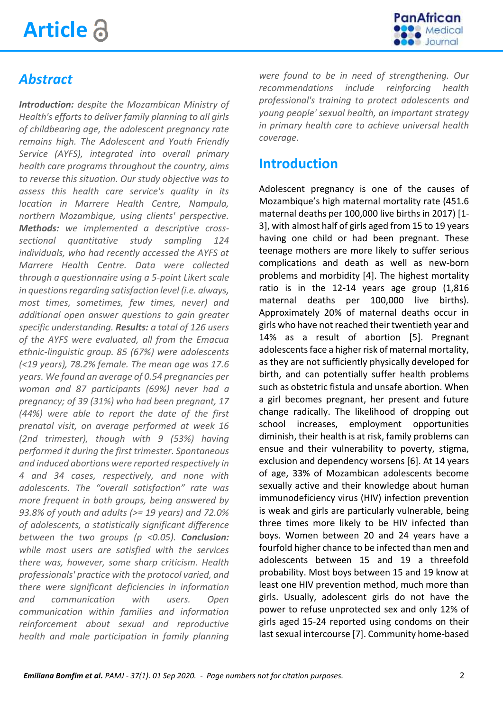# **Article**



### *Abstract*

*Introduction: despite the Mozambican Ministry of Health's efforts to deliver family planning to all girls of childbearing age, the adolescent pregnancy rate remains high. The Adolescent and Youth Friendly Service (AYFS), integrated into overall primary health care programs throughout the country, aims to reverse this situation. Our study objective was to assess this health care service's quality in its location in Marrere Health Centre, Nampula, northern Mozambique, using clients' perspective. Methods: we implemented a descriptive crosssectional quantitative study sampling 124 individuals, who had recently accessed the AYFS at Marrere Health Centre. Data were collected through a questionnaire using a 5-point Likert scale in questions regarding satisfaction level (i.e. always, most times, sometimes, few times, never) and additional open answer questions to gain greater specific understanding. Results: a total of 126 users of the AYFS were evaluated, all from the Emacua ethnic-linguistic group. 85 (67%) were adolescents (<19 years), 78.2% female. The mean age was 17.6 years. We found an average of 0.54 pregnancies per woman and 87 participants (69%) never had a pregnancy; of 39 (31%) who had been pregnant, 17 (44%) were able to report the date of the first prenatal visit, on average performed at week 16 (2nd trimester), though with 9 (53%) having performed it during the first trimester. Spontaneous and induced abortions were reported respectively in 4 and 34 cases, respectively, and none with adolescents. The "overall satisfaction" rate was more frequent in both groups, being answered by 93.8% of youth and adults (>= 19 years) and 72.0% of adolescents, a statistically significant difference between the two groups (p <0.05). Conclusion: while most users are satisfied with the services there was, however, some sharp criticism. Health professionals' practice with the protocol varied, and there were significant deficiencies in information and communication with users. Open communication within families and information reinforcement about sexual and reproductive health and male participation in family planning* 

*were found to be in need of strengthening. Our recommendations include reinforcing health professional's training to protect adolescents and young people' sexual health, an important strategy in primary health care to achieve universal health coverage.*

#### **Introduction**

Adolescent pregnancy is one of the causes of Mozambique's high maternal mortality rate (451.6 maternal deaths per 100,000 live births in 2017) [\[1-](https://www.panafrican-med-journal.com/content/article/37/1/full/#ref1) [3\]](https://www.panafrican-med-journal.com/content/article/37/1/full/#ref1), with almost half of girls aged from 15 to 19 years having one child or had been pregnant. These teenage mothers are more likely to suffer serious complications and death as well as new-born problems and morbidity [\[4\]](https://www.panafrican-med-journal.com/content/article/37/1/full/#ref4). The highest mortality ratio is in the 12-14 years age group (1,816 maternal deaths per 100,000 live births). Approximately 20% of maternal deaths occur in girls who have not reached their twentieth year and 14% as a result of abortion [\[5\]](https://www.panafrican-med-journal.com/content/article/37/1/full/#ref5). Pregnant adolescents face a higher risk of maternal mortality, as they are not sufficiently physically developed for birth, and can potentially suffer health problems such as obstetric fistula and unsafe abortion. When a girl becomes pregnant, her present and future change radically. The likelihood of dropping out school increases, employment opportunities diminish, their health is at risk, family problems can ensue and their vulnerability to poverty, stigma, exclusion and dependency worsens [\[6\]](https://www.panafrican-med-journal.com/content/article/37/1/full/#ref6). At 14 years of age, 33% of Mozambican adolescents become sexually active and their knowledge about human immunodeficiency virus (HIV) infection prevention is weak and girls are particularly vulnerable, being three times more likely to be HIV infected than boys. Women between 20 and 24 years have a fourfold higher chance to be infected than men and adolescents between 15 and 19 a threefold probability. Most boys between 15 and 19 know at least one HIV prevention method, much more than girls. Usually, adolescent girls do not have the power to refuse unprotected sex and only 12% of girls aged 15-24 reported using condoms on their last sexual intercourse [\[7\]](https://www.panafrican-med-journal.com/content/article/37/1/full/#ref7). Community home-based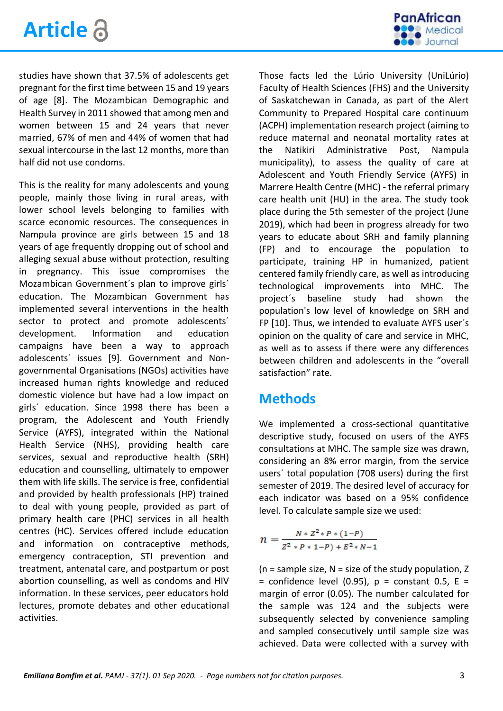

studies have shown that 37.5% of adolescents get pregnant for the first time between 15 and 19 years of age [\[8\]](https://www.panafrican-med-journal.com/content/article/37/1/full/#ref8). The Mozambican Demographic and Health Survey in 2011 showed that among men and women between 15 and 24 years that never married, 67% of men and 44% of women that had sexual intercourse in the last 12 months, more than half did not use condoms.

This is the reality for many adolescents and young people, mainly those living in rural areas, with lower school levels belonging to families with scarce economic resources. The consequences in Nampula province are girls between 15 and 18 years of age frequently dropping out of school and alleging sexual abuse without protection, resulting in pregnancy. This issue compromises the Mozambican Government´s plan to improve girls´ education. The Mozambican Government has implemented several interventions in the health sector to protect and promote adolescents´ development. Information and education campaigns have been a way to approach adolescents´ issues [\[9\]](#page-7-0). Government and Nongovernmental Organisations (NGOs) activities have increased human rights knowledge and reduced domestic violence but have had a low impact on girls´ education. Since 1998 there has been a program, the Adolescent and Youth Friendly Service (AYFS), integrated within the National Health Service (NHS), providing health care services, sexual and reproductive health (SRH) education and counselling, ultimately to empower them with life skills. The service is free, confidential and provided by health professionals (HP) trained to deal with young people, provided as part of primary health care (PHC) services in all health centres (HC). Services offered include education and information on contraceptive methods, emergency contraception, STI prevention and treatment, antenatal care, and postpartum or post abortion counselling, as well as condoms and HIV information. In these services, peer educators hold lectures, promote debates and other educational activities.

Those facts led the Lúrio University (UniLúrio) Faculty of Health Sciences (FHS) and the University of Saskatchewan in Canada, as part of the Alert Community to Prepared Hospital care continuum (ACPH) implementation research project (aiming to reduce maternal and neonatal mortality rates at the Natikiri Administrative Post, Nampula municipality), to assess the quality of care at Adolescent and Youth Friendly Service (AYFS) in Marrere Health Centre (MHC) - the referral primary care health unit (HU) in the area. The study took place during the 5th semester of the project (June 2019), which had been in progress already for two years to educate about SRH and family planning (FP) and to encourage the population to participate, training HP in humanized, patient centered family friendly care, as well as introducing technological improvements into MHC. The project´s baseline study had shown the population's low level of knowledge on SRH and FP [\[10\]](#page-7-1). Thus, we intended to evaluate AYFS user´s opinion on the quality of care and service in MHC, as well as to assess if there were any differences between children and adolescents in the "overall satisfaction" rate.

#### **Methods**

We implemented a cross-sectional quantitative descriptive study, focused on users of the AYFS consultations at MHC. The sample size was drawn, considering an 8% error margin, from the service users´ total population (708 users) during the first semester of 2019. The desired level of accuracy for each indicator was based on a 95% confidence level. To calculate sample size we used:

$$
n = \frac{N * Z^2 * P * (1 - P)}{Z^2 * P * 1 - P) + E^2 * N - 1}
$$

( $n =$  sample size,  $N =$  size of the study population,  $Z$ = confidence level (0.95),  $p = constant 0.5$ ,  $E =$ margin of error (0.05). The number calculated for the sample was 124 and the subjects were subsequently selected by convenience sampling and sampled consecutively until sample size was achieved. Data were collected with a survey with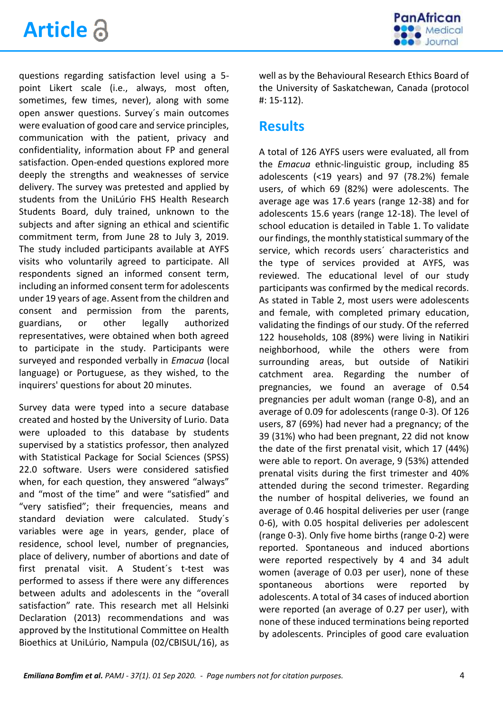



questions regarding satisfaction level using a 5 point Likert scale (i.e., always, most often, sometimes, few times, never), along with some open answer questions. Survey´s main outcomes were evaluation of good care and service principles, communication with the patient, privacy and confidentiality, information about FP and general satisfaction. Open-ended questions explored more deeply the strengths and weaknesses of service delivery. The survey was pretested and applied by students from the UniLúrio FHS Health Research Students Board, duly trained, unknown to the subjects and after signing an ethical and scientific commitment term, from June 28 to July 3, 2019. The study included participants available at AYFS visits who voluntarily agreed to participate. All respondents signed an informed consent term, including an informed consent term for adolescents under 19 years of age. Assent from the children and consent and permission from the parents, guardians, or other legally authorized representatives, were obtained when both agreed to participate in the study. Participants were surveyed and responded verbally in *Emacua* (local language) or Portuguese, as they wished, to the inquirers' questions for about 20 minutes.

Survey data were typed into a secure database created and hosted by the University of Lurio. Data were uploaded to this database by students supervised by a statistics professor, then analyzed with Statistical Package for Social Sciences (SPSS) 22.0 software. Users were considered satisfied when, for each question, they answered "always" and "most of the time" and were "satisfied" and "very satisfied"; their frequencies, means and standard deviation were calculated. Study´s variables were age in years, gender, place of residence, school level, number of pregnancies, place of delivery, number of abortions and date of first prenatal visit. A Student´s t-test was performed to assess if there were any differences between adults and adolescents in the "overall satisfaction" rate. This research met all Helsinki Declaration (2013) recommendations and was approved by the Institutional Committee on Health Bioethics at UniLúrio, Nampula (02/CBISUL/16), as

well as by the Behavioural Research Ethics Board of the University of Saskatchewan, Canada (protocol #: 15-112).

#### **Results**

A total of 126 AYFS users were evaluated, all from the *Emacua* ethnic-linguistic group, including 85 adolescents (<19 years) and 97 (78.2%) female users, of which 69 (82%) were adolescents. The average age was 17.6 years (range 12-38) and for adolescents 15.6 years (range 12-18). The level of school education is detailed in [Table 1.](javascript:%20void(0)) To validate our findings, the monthly statistical summary of the service, which records users´ characteristics and the type of services provided at AYFS, was reviewed. The educational level of our study participants was confirmed by the medical records. As stated in [Table 2,](javascript:%20void(0)) most users were adolescents and female, with completed primary education, validating the findings of our study. Of the referred 122 households, 108 (89%) were living in Natikiri neighborhood, while the others were from surrounding areas, but outside of Natikiri catchment area. Regarding the number of pregnancies, we found an average of 0.54 pregnancies per adult woman (range 0-8), and an average of 0.09 for adolescents (range 0-3). Of 126 users, 87 (69%) had never had a pregnancy; of the 39 (31%) who had been pregnant, 22 did not know the date of the first prenatal visit, which 17 (44%) were able to report. On average, 9 (53%) attended prenatal visits during the first trimester and 40% attended during the second trimester. Regarding the number of hospital deliveries, we found an average of 0.46 hospital deliveries per user (range 0-6), with 0.05 hospital deliveries per adolescent (range 0-3). Only five home births (range 0-2) were reported. Spontaneous and induced abortions were reported respectively by 4 and 34 adult women (average of 0.03 per user), none of these spontaneous abortions were reported by adolescents. A total of 34 cases of induced abortion were reported (an average of 0.27 per user), with none of these induced terminations being reported by adolescents. Principles of good care evaluation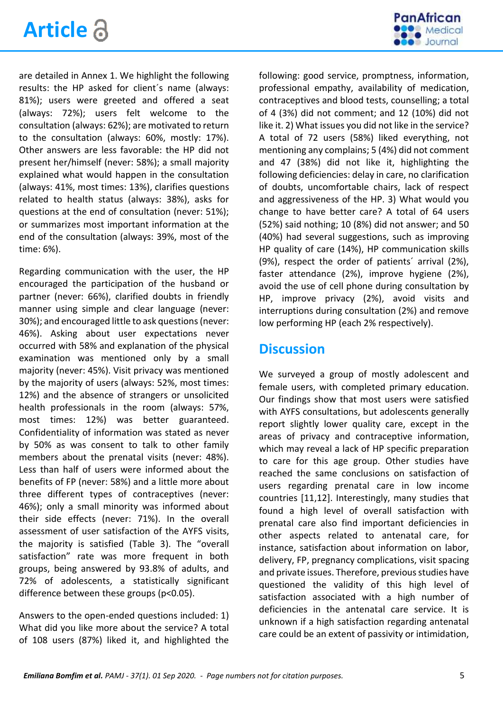



are detailed in [Annex 1.](file:///C:/Users/EMILIE/Downloads/annex1.pdf) We highlight the following results: the HP asked for client´s name (always: 81%); users were greeted and offered a seat (always: 72%); users felt welcome to the consultation (always: 62%); are motivated to return to the consultation (always: 60%, mostly: 17%). Other answers are less favorable: the HP did not present her/himself (never: 58%); a small majority explained what would happen in the consultation (always: 41%, most times: 13%), clarifies questions related to health status (always: 38%), asks for questions at the end of consultation (never: 51%); or summarizes most important information at the end of the consultation (always: 39%, most of the time: 6%).

Regarding communication with the user, the HP encouraged the participation of the husband or partner (never: 66%), clarified doubts in friendly manner using simple and clear language (never: 30%); and encouraged little to ask questions (never: 46%). Asking about user expectations never occurred with 58% and explanation of the physical examination was mentioned only by a small majority (never: 45%). Visit privacy was mentioned by the majority of users (always: 52%, most times: 12%) and the absence of strangers or unsolicited health professionals in the room (always: 57%, most times: 12%) was better guaranteed. Confidentiality of information was stated as never by 50% as was consent to talk to other family members about the prenatal visits (never: 48%). Less than half of users were informed about the benefits of FP (never: 58%) and a little more about three different types of contraceptives (never: 46%); only a small minority was informed about their side effects (never: 71%). In the overall assessment of user satisfaction of the AYFS visits, the majority is satisfied [\(Table 3](javascript:%20void(0))). The "overall satisfaction" rate was more frequent in both groups, being answered by 93.8% of adults, and 72% of adolescents, a statistically significant difference between these groups (p<0.05).

Answers to the open-ended questions included: 1) What did you like more about the service? A total of 108 users (87%) liked it, and highlighted the

following: good service, promptness, information, professional empathy, availability of medication, contraceptives and blood tests, counselling; a total of 4 (3%) did not comment; and 12 (10%) did not like it. 2) What issues you did not like in the service? A total of 72 users (58%) liked everything, not mentioning any complains; 5 (4%) did not comment and 47 (38%) did not like it, highlighting the following deficiencies: delay in care, no clarification of doubts, uncomfortable chairs, lack of respect and aggressiveness of the HP. 3) What would you change to have better care? A total of 64 users (52%) said nothing; 10 (8%) did not answer; and 50 (40%) had several suggestions, such as improving HP quality of care (14%), HP communication skills (9%), respect the order of patients´ arrival (2%), faster attendance (2%), improve hygiene (2%), avoid the use of cell phone during consultation by HP, improve privacy (2%), avoid visits and interruptions during consultation (2%) and remove low performing HP (each 2% respectively).

#### **Discussion**

We surveyed a group of mostly adolescent and female users, with completed primary education. Our findings show that most users were satisfied with AYFS consultations, but adolescents generally report slightly lower quality care, except in the areas of privacy and contraceptive information, which may reveal a lack of HP specific preparation to care for this age group. Other studies have reached the same conclusions on satisfaction of users regarding prenatal care in low income countries [\[11](#page-7-2)[,12\]](#page-8-0). Interestingly, many studies that found a high level of overall satisfaction with prenatal care also find important deficiencies in other aspects related to antenatal care, for instance, satisfaction about information on labor, delivery, FP, pregnancy complications, visit spacing and private issues. Therefore, previous studies have questioned the validity of this high level of satisfaction associated with a high number of deficiencies in the antenatal care service. It is unknown if a high satisfaction regarding antenatal care could be an extent of passivity or intimidation,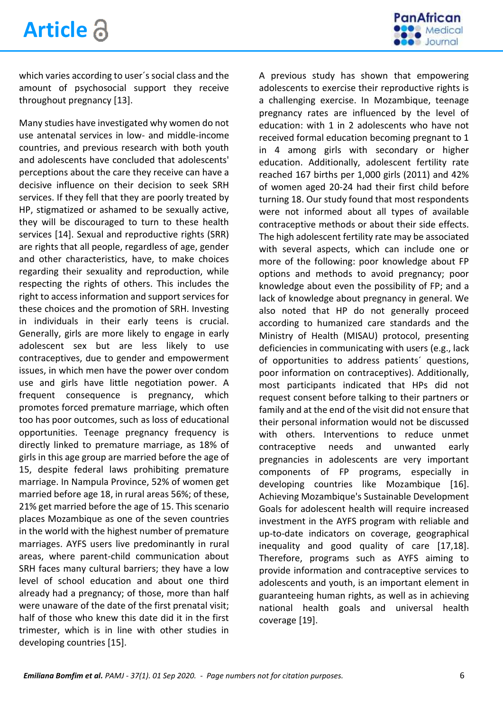

which varies according to user´s social class and the amount of psychosocial support they receive throughout pregnancy [\[13\]](#page-8-1).

Many studies have investigated why women do not use antenatal services in low- and middle-income countries, and previous research with both youth and adolescents have concluded that adolescents' perceptions about the care they receive can have a decisive influence on their decision to seek SRH services. If they fell that they are poorly treated by HP, stigmatized or ashamed to be sexually active, they will be discouraged to turn to these health services [\[14\]](#page-8-2). Sexual and reproductive rights (SRR) are rights that all people, regardless of age, gender and other characteristics, have, to make choices regarding their sexuality and reproduction, while respecting the rights of others. This includes the right to access information and support services for these choices and the promotion of SRH. Investing in individuals in their early teens is crucial. Generally, girls are more likely to engage in early adolescent sex but are less likely to use contraceptives, due to gender and empowerment issues, in which men have the power over condom use and girls have little negotiation power. A frequent consequence is pregnancy, which promotes forced premature marriage, which often too has poor outcomes, such as loss of educational opportunities. Teenage pregnancy frequency is directly linked to premature marriage, as 18% of girls in this age group are married before the age of 15, despite federal laws prohibiting premature marriage. In Nampula Province, 52% of women get married before age 18, in rural areas 56%; of these, 21% get married before the age of 15. This scenario places Mozambique as one of the seven countries in the world with the highest number of premature marriages. AYFS users live predominantly in rural areas, where parent-child communication about SRH faces many cultural barriers; they have a low level of school education and about one third already had a pregnancy; of those, more than half were unaware of the date of the first prenatal visit; half of those who knew this date did it in the first trimester, which is in line with other studies in developing countries [\[15\]](#page-8-3).

A previous study has shown that empowering adolescents to exercise their reproductive rights is a challenging exercise. In Mozambique, teenage pregnancy rates are influenced by the level of education: with 1 in 2 adolescents who have not received formal education becoming pregnant to 1 in 4 among girls with secondary or higher education. Additionally, adolescent fertility rate reached 167 births per 1,000 girls (2011) and 42% of women aged 20-24 had their first child before turning 18. Our study found that most respondents were not informed about all types of available contraceptive methods or about their side effects. The high adolescent fertility rate may be associated with several aspects, which can include one or more of the following: poor knowledge about FP options and methods to avoid pregnancy; poor knowledge about even the possibility of FP; and a lack of knowledge about pregnancy in general. We also noted that HP do not generally proceed according to humanized care standards and the Ministry of Health (MISAU) protocol, presenting deficiencies in communicating with users (e.g., lack of opportunities to address patients´ questions, poor information on contraceptives). Additionally, most participants indicated that HPs did not request consent before talking to their partners or family and at the end of the visit did not ensure that their personal information would not be discussed with others. Interventions to reduce unmet contraceptive needs and unwanted early pregnancies in adolescents are very important components of FP programs, especially in developing countries like Mozambique [\[16\]](#page-8-4). Achieving Mozambique's Sustainable Development Goals for adolescent health will require increased investment in the AYFS program with reliable and up-to-date indicators on coverage, geographical inequality and good quality of care [\[17](#page-8-5)[,18\]](#page-8-6). Therefore, programs such as AYFS aiming to provide information and contraceptive services to adolescents and youth, is an important element in guaranteeing human rights, as well as in achieving national health goals and universal health coverage [\[19\]](#page-8-7).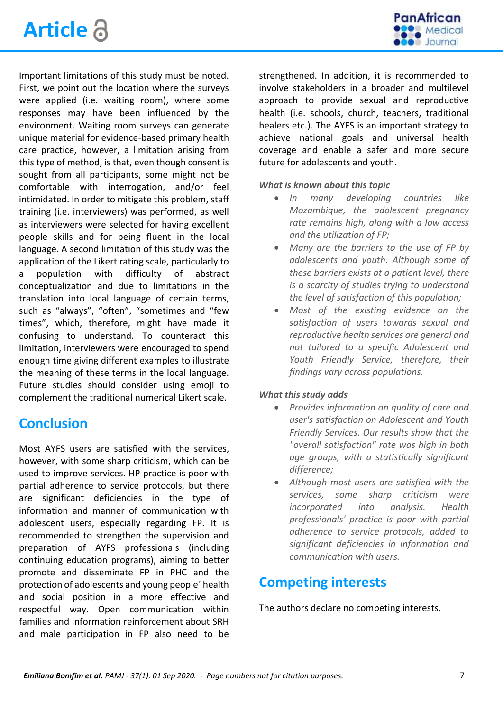



Important limitations of this study must be noted. First, we point out the location where the surveys were applied (i.e. waiting room), where some responses may have been influenced by the environment. Waiting room surveys can generate unique material for evidence-based primary health care practice, however, a limitation arising from this type of method, is that, even though consent is sought from all participants, some might not be comfortable with interrogation, and/or feel intimidated. In order to mitigate this problem, staff training (i.e. interviewers) was performed, as well as interviewers were selected for having excellent people skills and for being fluent in the local language. A second limitation of this study was the application of the Likert rating scale, particularly to a population with difficulty of abstract conceptualization and due to limitations in the translation into local language of certain terms, such as "always", "often", "sometimes and "few times", which, therefore, might have made it confusing to understand. To counteract this limitation, interviewers were encouraged to spend enough time giving different examples to illustrate the meaning of these terms in the local language. Future studies should consider using emoji to complement the traditional numerical Likert scale.

#### **Conclusion**

Most AYFS users are satisfied with the services, however, with some sharp criticism, which can be used to improve services. HP practice is poor with partial adherence to service protocols, but there are significant deficiencies in the type of information and manner of communication with adolescent users, especially regarding FP. It is recommended to strengthen the supervision and preparation of AYFS professionals (including continuing education programs), aiming to better promote and disseminate FP in PHC and the protection of adolescents and young people´ health and social position in a more effective and respectful way. Open communication within families and information reinforcement about SRH and male participation in FP also need to be strengthened. In addition, it is recommended to involve stakeholders in a broader and multilevel approach to provide sexual and reproductive health (i.e. schools, church, teachers, traditional healers etc.). The AYFS is an important strategy to achieve national goals and universal health coverage and enable a safer and more secure future for adolescents and youth.

*What is known about this topic*

- *In many developing countries like Mozambique, the adolescent pregnancy rate remains high, along with a low access and the utilization of FP;*
- *Many are the barriers to the use of FP by adolescents and youth. Although some of these barriers exists at a patient level, there is a scarcity of studies trying to understand the level of satisfaction of this population;*
- *Most of the existing evidence on the satisfaction of users towards sexual and reproductive health services are general and not tailored to a specific Adolescent and Youth Friendly Service, therefore, their findings vary across populations.*

#### *What this study adds*

- *Provides information on quality of care and user's satisfaction on Adolescent and Youth Friendly Services. Our results show that the "overall satisfaction" rate was high in both age groups, with a statistically significant difference;*
- *Although most users are satisfied with the services, some sharp criticism were incorporated into analysis. Health professionals' practice is poor with partial adherence to service protocols, added to significant deficiencies in information and communication with users.*

#### **Competing interests**

The authors declare no competing interests.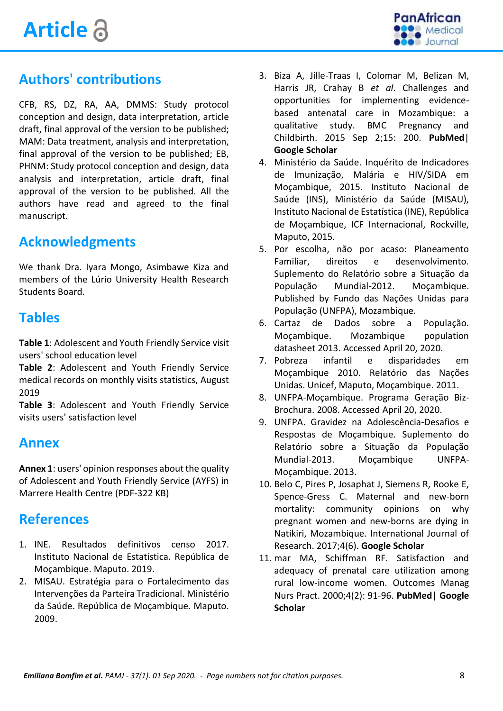

## **Authors' contributions**

CFB, RS, DZ, RA, AA, DMMS: Study protocol conception and design, data interpretation, article draft, final approval of the version to be published; MAM: Data treatment, analysis and interpretation, final approval of the version to be published; EB, PHNM: Study protocol conception and design, data analysis and interpretation, article draft, final approval of the version to be published. All the authors have read and agreed to the final manuscript.

#### **Acknowledgments**

We thank Dra. Iyara Mongo, Asimbawe Kiza and members of the Lúrio University Health Research Students Board.

#### **Tables**

**[Table 1](javascript:%20void(0))**: Adolescent and Youth Friendly Service visit users' school education leve[l](javascript:%20void(0))

**[Table 2](javascript:%20void(0))**: Adolescent and Youth Friendly Service med[ical records on monthly visits statistics, August](javascript:%20void(0))  2019

**[Table 3](javascript:%20void(0))**: Adolescent and Youth Friendly Service visits users' satisfaction level

#### **Annex**

**[Annex 1](https://www.panafrican-med-journal.com/content/article/37/1/full/annex1.pdf)**: users' opinion responses about the quality of Adolescent and Youth Friendly Service (AYFS) in Marrere Health Centre (PDF-322 KB)

#### **References**

- 1. INE. Resultados definitivos censo 2017. Instituto Nacional de Estatística. República de Moçambique. Maputo. 2019.
- 2. MISAU. Estratégia para o Fortalecimento das Intervenções da Parteira Tradicional. Ministério da Saúde. República de Moçambique. Maputo. 2009.
- 3. Biza A, Jille-Traas I, Colomar M, Belizan M, Harris JR, Crahay B *et al*. Challenges and opportunities for implementing evidencebased antenatal care in Mozambique: a qualitative study. BMC Pregnancy and Childbirth. 2015 Sep 2;15: 200. **PubMed**| **Google Scholar**
- 4. Ministério da Saúde. Inquérito de Indicadores de Imunização, Malária e HIV/SIDA em Moçambique, 2015. Instituto Nacional de Saúde (INS), Ministério da Saúde (MISAU), Instituto Nacional de Estatística (INE), República de Moçambique, ICF Internacional, Rockville, Maputo, 2015.
- 5. Por escolha, não por acaso: Planeamento Familiar, direitos e desenvolvimento. Suplemento do Relatório sobre a Situação da População Mundial-2012. Moçambique. Published by Fundo das Nações Unidas para População (UNFPA), Mozambique.
- 6. Cartaz de Dados sobre a População. Moçambique. Mozambique population datasheet 2013. Accessed April 20, 2020.
- 7. Pobreza infantil e disparidades em Moçambique 2010. Relatório das Nações Unidas. Unicef, Maputo, Moçambique. 2011.
- 8. UNFPA-Moçambique. Programa Geração Biz-Brochura. 2008. Accessed April 20, 2020.
- <span id="page-7-0"></span>9. UNFPA. Gravidez na Adolescência-Desafios e Respostas de Moçambique. Suplemento do Relatório sobre a Situação da População Mundial-2013. Moçambique UNFPA-Moçambique. 2013.
- <span id="page-7-1"></span>10. Belo C, Pires P, Josaphat J, Siemens R, Rooke E, Spence-Gress C. Maternal and new-born mortality: community opinions on why pregnant women and new-borns are dying in Natikiri, Mozambique. International Journal of Research. 2017;4(6). **Google Scholar**
- <span id="page-7-2"></span>11. mar MA, Schiffman RF. Satisfaction and adequacy of prenatal care utilization among rural low-income women. Outcomes Manag Nurs Pract. 2000;4(2): 91-96. **PubMed**| **Google Scholar**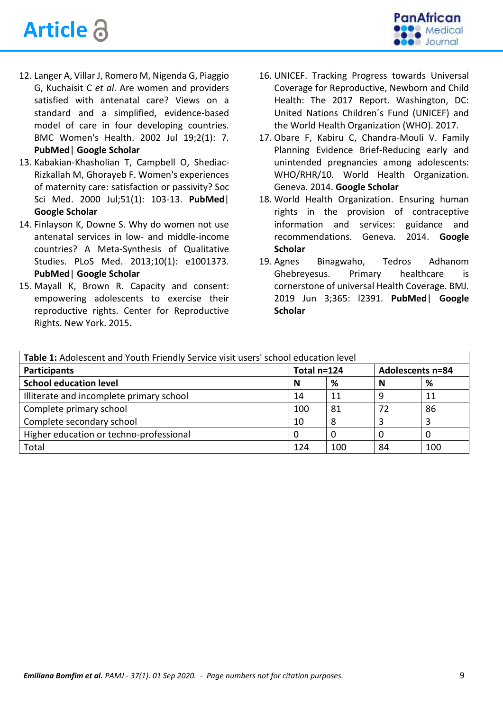# **Article**



- <span id="page-8-0"></span>12. Langer A, Villar J, Romero M, Nigenda G, Piaggio G, Kuchaisit C *et al*. Are women and providers satisfied with antenatal care? Views on a standard and a simplified, evidence-based model of care in four developing countries. BMC Women's Health. 2002 Jul 19;2(1): 7. **PubMed**| **Google Scholar**
- <span id="page-8-1"></span>13. Kabakian-Khasholian T, Campbell O, Shediac-Rizkallah M, Ghorayeb F. Women's experiences of maternity care: satisfaction or passivity? Soc Sci Med. 2000 Jul;51(1): 103-13. **PubMed**| **Google Scholar**
- <span id="page-8-2"></span>14. Finlayson K, Downe S. Why do women not use antenatal services in low- and middle-income countries? A Meta-Synthesis of Qualitative Studies. PLoS Med. 2013;10(1): e1001373. **PubMed**| **Google Scholar**
- <span id="page-8-3"></span>15. Mayall K, Brown R. Capacity and consent: empowering adolescents to exercise their reproductive rights. Center for Reproductive Rights. New York. 2015.
- <span id="page-8-4"></span>16. UNICEF. Tracking Progress towards Universal Coverage for Reproductive, Newborn and Child Health: The 2017 Report. Washington, DC: United Nations Children´s Fund (UNICEF) and the World Health Organization (WHO). 2017.
- <span id="page-8-5"></span>17. Obare F, Kabiru C, Chandra-Mouli V. Family Planning Evidence Brief-Reducing early and unintended pregnancies among adolescents: WHO/RHR/10. World Health Organization. Geneva. 2014. **Google Scholar**
- <span id="page-8-6"></span>18. World Health Organization. Ensuring human rights in the provision of contraceptive information and services: guidance and recommendations. Geneva. 2014. **Google Scholar**
- <span id="page-8-7"></span>19. Agnes Binagwaho, Tedros Adhanom Ghebreyesus. Primary healthcare is cornerstone of universal Health Coverage. BMJ. 2019 Jun 3;365: l2391. **PubMed**| **Google Scholar**

| Table 1: Adolescent and Youth Friendly Service visit users' school education level |             |          |                         |     |  |  |  |
|------------------------------------------------------------------------------------|-------------|----------|-------------------------|-----|--|--|--|
| Participants                                                                       | Total n=124 |          | <b>Adolescents n=84</b> |     |  |  |  |
| <b>School education level</b>                                                      | N           | %        | N                       | %   |  |  |  |
| Illiterate and incomplete primary school                                           | 14          | 11       | 9                       | 11  |  |  |  |
| Complete primary school                                                            | 100         | 81       | 72                      | 86  |  |  |  |
| Complete secondary school                                                          | 10          | 8        | 3                       | 3   |  |  |  |
| Higher education or techno-professional                                            |             | $\Omega$ | $\Omega$                | 0   |  |  |  |
| Total                                                                              | 124         | 100      | 84                      | 100 |  |  |  |